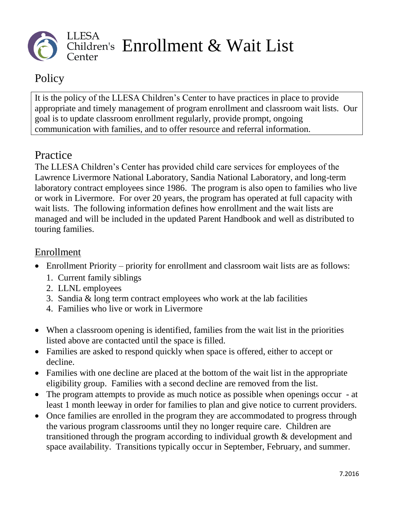

## **Policy**

It is the policy of the LLESA Children's Center to have practices in place to provide appropriate and timely management of program enrollment and classroom wait lists. Our goal is to update classroom enrollment regularly, provide prompt, ongoing communication with families, and to offer resource and referral information.

## Practice

The LLESA Children's Center has provided child care services for employees of the Lawrence Livermore National Laboratory, Sandia National Laboratory, and long-term laboratory contract employees since 1986. The program is also open to families who live or work in Livermore. For over 20 years, the program has operated at full capacity with wait lists. The following information defines how enrollment and the wait lists are managed and will be included in the updated Parent Handbook and well as distributed to touring families.

## Enrollment

- Enrollment Priority priority for enrollment and classroom wait lists are as follows:
	- 1. Current family siblings
	- 2. LLNL employees
	- 3. Sandia & long term contract employees who work at the lab facilities
	- 4. Families who live or work in Livermore
- When a classroom opening is identified, families from the wait list in the priorities listed above are contacted until the space is filled.
- Families are asked to respond quickly when space is offered, either to accept or decline.
- Families with one decline are placed at the bottom of the wait list in the appropriate eligibility group. Families with a second decline are removed from the list.
- The program attempts to provide as much notice as possible when openings occur at least 1 month leeway in order for families to plan and give notice to current providers.
- Once families are enrolled in the program they are accommodated to progress through the various program classrooms until they no longer require care. Children are transitioned through the program according to individual growth & development and space availability. Transitions typically occur in September, February, and summer.